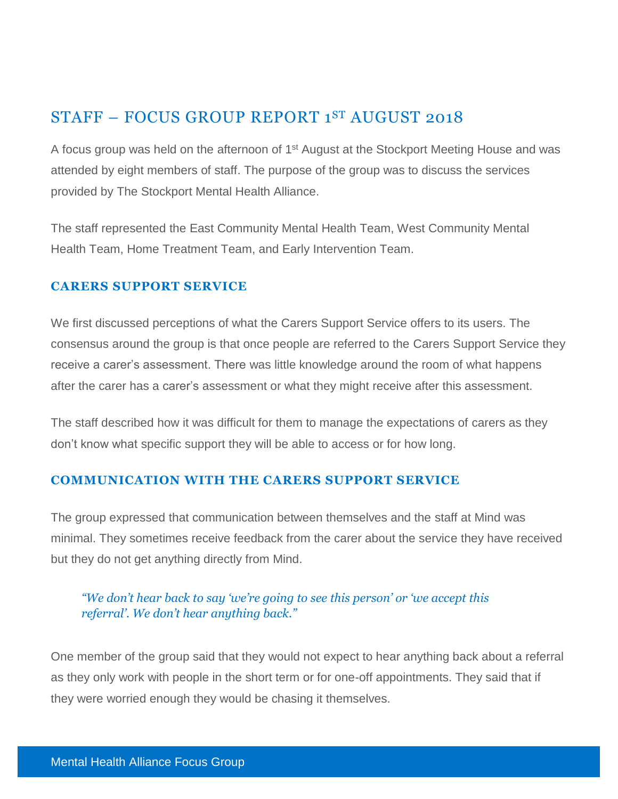# STAFF – FOCUS GROUP REPORT 1 ST AUGUST 2018

A focus group was held on the afternoon of 1<sup>st</sup> August at the Stockport Meeting House and was attended by eight members of staff. The purpose of the group was to discuss the services provided by The Stockport Mental Health Alliance.

The staff represented the East Community Mental Health Team, West Community Mental Health Team, Home Treatment Team, and Early Intervention Team.

#### **CARERS SUPPORT SERVICE**

We first discussed perceptions of what the Carers Support Service offers to its users. The consensus around the group is that once people are referred to the Carers Support Service they receive a carer's assessment. There was little knowledge around the room of what happens after the carer has a carer's assessment or what they might receive after this assessment.

The staff described how it was difficult for them to manage the expectations of carers as they don't know what specific support they will be able to access or for how long.

#### **COMMUNICATION WITH THE CARERS SUPPORT SERVICE**

The group expressed that communication between themselves and the staff at Mind was minimal. They sometimes receive feedback from the carer about the service they have received but they do not get anything directly from Mind.

### *"We don't hear back to say 'we're going to see this person' or 'we accept this referral'. We don't hear anything back."*

One member of the group said that they would not expect to hear anything back about a referral as they only work with people in the short term or for one-off appointments. They said that if they were worried enough they would be chasing it themselves.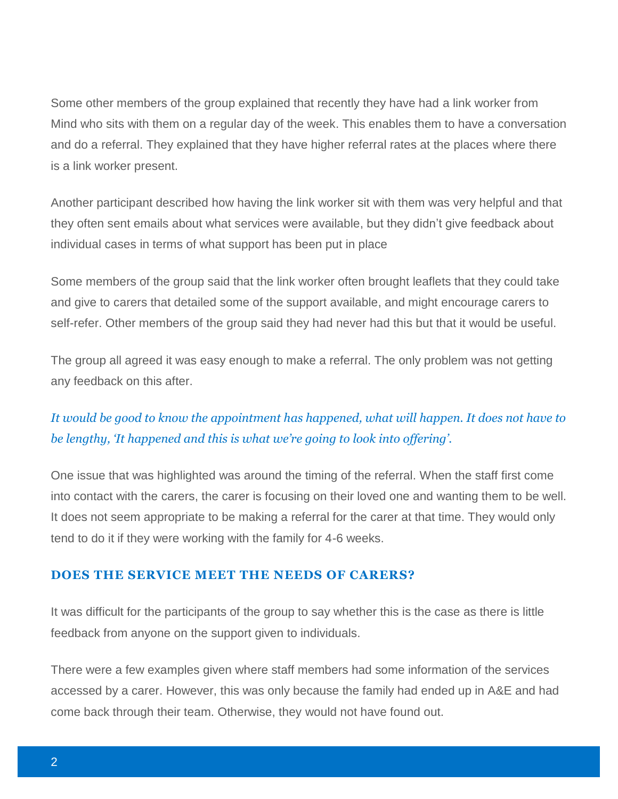Some other members of the group explained that recently they have had a link worker from Mind who sits with them on a regular day of the week. This enables them to have a conversation and do a referral. They explained that they have higher referral rates at the places where there is a link worker present.

Another participant described how having the link worker sit with them was very helpful and that they often sent emails about what services were available, but they didn't give feedback about individual cases in terms of what support has been put in place

Some members of the group said that the link worker often brought leaflets that they could take and give to carers that detailed some of the support available, and might encourage carers to self-refer. Other members of the group said they had never had this but that it would be useful.

The group all agreed it was easy enough to make a referral. The only problem was not getting any feedback on this after.

# *It would be good to know the appointment has happened, what will happen. It does not have to be lengthy, 'It happened and this is what we're going to look into offering'.*

One issue that was highlighted was around the timing of the referral. When the staff first come into contact with the carers, the carer is focusing on their loved one and wanting them to be well. It does not seem appropriate to be making a referral for the carer at that time. They would only tend to do it if they were working with the family for 4-6 weeks.

#### **DOES THE SERVICE MEET THE NEEDS OF CARERS?**

It was difficult for the participants of the group to say whether this is the case as there is little feedback from anyone on the support given to individuals.

There were a few examples given where staff members had some information of the services accessed by a carer. However, this was only because the family had ended up in A&E and had come back through their team. Otherwise, they would not have found out.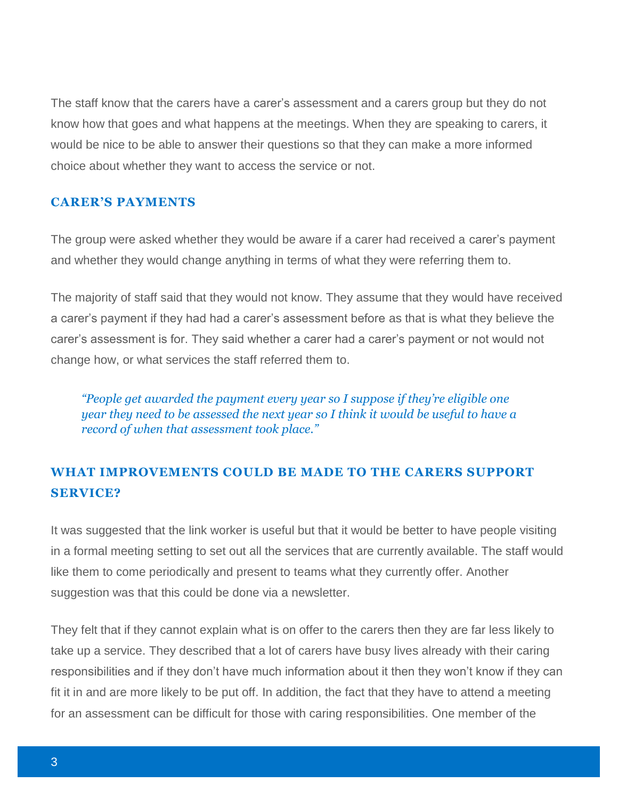The staff know that the carers have a carer's assessment and a carers group but they do not know how that goes and what happens at the meetings. When they are speaking to carers, it would be nice to be able to answer their questions so that they can make a more informed choice about whether they want to access the service or not.

#### **CARER'S PAYMENTS**

The group were asked whether they would be aware if a carer had received a carer's payment and whether they would change anything in terms of what they were referring them to.

The majority of staff said that they would not know. They assume that they would have received a carer's payment if they had had a carer's assessment before as that is what they believe the carer's assessment is for. They said whether a carer had a carer's payment or not would not change how, or what services the staff referred them to.

*"People get awarded the payment every year so I suppose if they're eligible one year they need to be assessed the next year so I think it would be useful to have a record of when that assessment took place."*

### **WHAT IMPROVEMENTS COULD BE MADE TO THE CARERS SUPPORT SERVICE?**

It was suggested that the link worker is useful but that it would be better to have people visiting in a formal meeting setting to set out all the services that are currently available. The staff would like them to come periodically and present to teams what they currently offer. Another suggestion was that this could be done via a newsletter.

They felt that if they cannot explain what is on offer to the carers then they are far less likely to take up a service. They described that a lot of carers have busy lives already with their caring responsibilities and if they don't have much information about it then they won't know if they can fit it in and are more likely to be put off. In addition, the fact that they have to attend a meeting for an assessment can be difficult for those with caring responsibilities. One member of the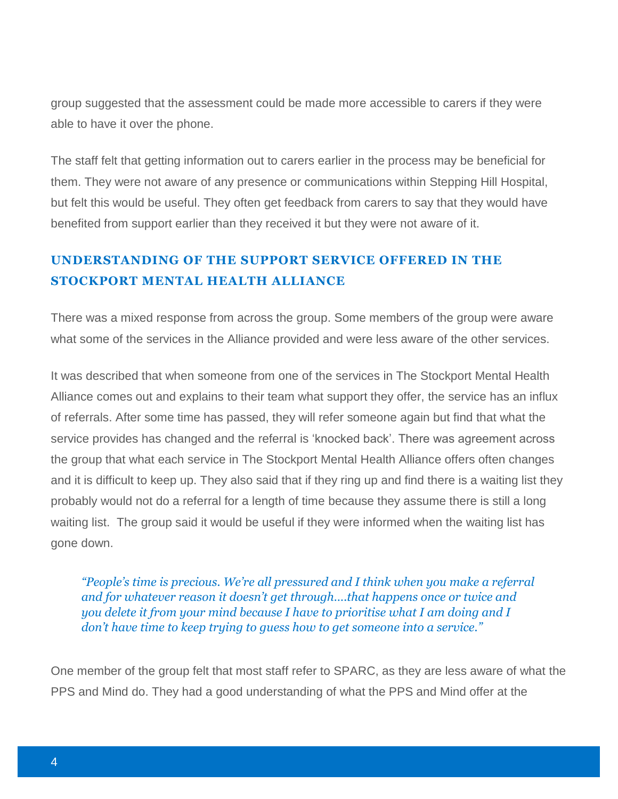group suggested that the assessment could be made more accessible to carers if they were able to have it over the phone.

The staff felt that getting information out to carers earlier in the process may be beneficial for them. They were not aware of any presence or communications within Stepping Hill Hospital, but felt this would be useful. They often get feedback from carers to say that they would have benefited from support earlier than they received it but they were not aware of it.

### **UNDERSTANDING OF THE SUPPORT SERVICE OFFERED IN THE STOCKPORT MENTAL HEALTH ALLIANCE**

There was a mixed response from across the group. Some members of the group were aware what some of the services in the Alliance provided and were less aware of the other services.

It was described that when someone from one of the services in The Stockport Mental Health Alliance comes out and explains to their team what support they offer, the service has an influx of referrals. After some time has passed, they will refer someone again but find that what the service provides has changed and the referral is 'knocked back'. There was agreement across the group that what each service in The Stockport Mental Health Alliance offers often changes and it is difficult to keep up. They also said that if they ring up and find there is a waiting list they probably would not do a referral for a length of time because they assume there is still a long waiting list. The group said it would be useful if they were informed when the waiting list has gone down.

*"People's time is precious. We're all pressured and I think when you make a referral and for whatever reason it doesn't get through….that happens once or twice and you delete it from your mind because I have to prioritise what I am doing and I don't have time to keep trying to guess how to get someone into a service."*

One member of the group felt that most staff refer to SPARC, as they are less aware of what the PPS and Mind do. They had a good understanding of what the PPS and Mind offer at the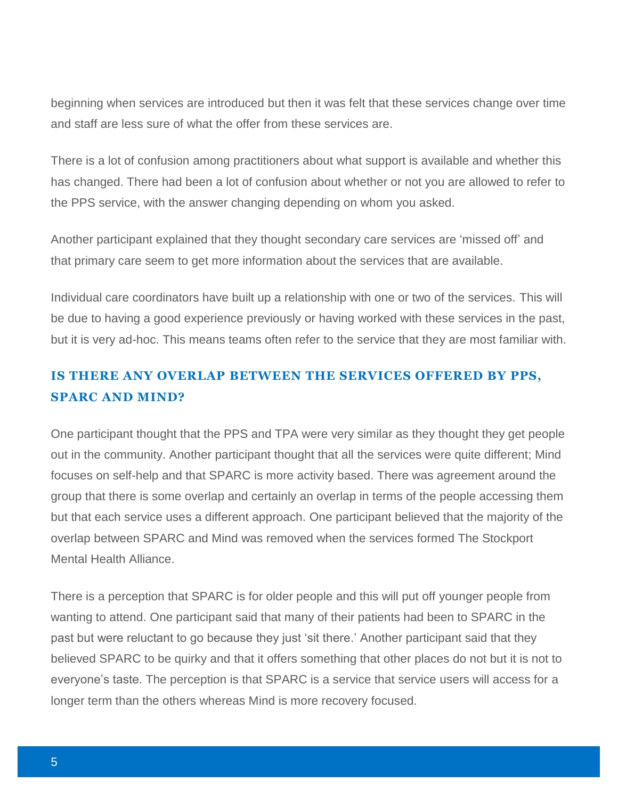beginning when services are introduced but then it was felt that these services change over time and staff are less sure of what the offer from these services are.

There is a lot of confusion among practitioners about what support is available and whether this has changed. There had been a lot of confusion about whether or not you are allowed to refer to the PPS service, with the answer changing depending on whom you asked.

Another participant explained that they thought secondary care services are 'missed off' and that primary care seem to get more information about the services that are available.

Individual care coordinators have built up a relationship with one or two of the services. This will be due to having a good experience previously or having worked with these services in the past, but it is very ad-hoc. This means teams often refer to the service that they are most familiar with.

# **IS THERE ANY OVERLAP BETWEEN THE SERVICES OFFERED BY PPS, SPARC AND MIND?**

One participant thought that the PPS and TPA were very similar as they thought they get people out in the community. Another participant thought that all the services were quite different; Mind focuses on self-help and that SPARC is more activity based. There was agreement around the group that there is some overlap and certainly an overlap in terms of the people accessing them but that each service uses a different approach. One participant believed that the majority of the overlap between SPARC and Mind was removed when the services formed The Stockport Mental Health Alliance.

There is a perception that SPARC is for older people and this will put off younger people from wanting to attend. One participant said that many of their patients had been to SPARC in the past but were reluctant to go because they just 'sit there.' Another participant said that they believed SPARC to be quirky and that it offers something that other places do not but it is not to everyone's taste. The perception is that SPARC is a service that service users will access for a longer term than the others whereas Mind is more recovery focused.